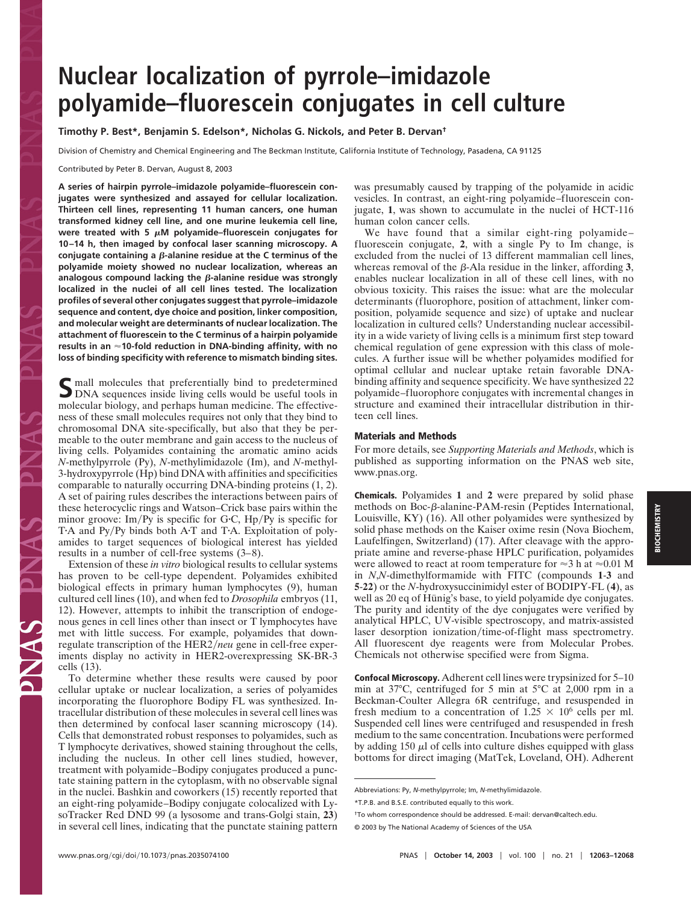## **Nuclear localization of pyrrole–imidazole polyamide–fluorescein conjugates in cell culture**

**Timothy P. Best\*, Benjamin S. Edelson\*, Nicholas G. Nickols, and Peter B. Dervan†**

Division of Chemistry and Chemical Engineering and The Beckman Institute, California Institute of Technology, Pasadena, CA 91125

Contributed by Peter B. Dervan, August 8, 2003

**A series of hairpin pyrrole–imidazole polyamide–fluorescein conjugates were synthesized and assayed for cellular localization. Thirteen cell lines, representing 11 human cancers, one human transformed kidney cell line, and one murine leukemia cell line,** were treated with 5  $\mu$ M polyamide–fluorescein conjugates for **10–14 h, then imaged by confocal laser scanning microscopy. A**  $\alpha$  conjugate containing a  $\beta$ -alanine residue at the C terminus of the **polyamide moiety showed no nuclear localization, whereas an** analogous compound lacking the *β*-alanine residue was strongly **localized in the nuclei of all cell lines tested. The localization profiles of several other conjugates suggest that pyrrole–imidazole sequence and content, dye choice and position, linker composition, and molecular weight are determinants of nuclear localization. The attachment of fluorescein to the C terminus of a hairpin polyamide results in an 10-fold reduction in DNA-binding affinity, with no loss of binding specificity with reference to mismatch binding sites.**

S mall molecules that preferentially bind to predetermined<br>DNA sequences inside living cells would be useful tools in molecular biology, and perhaps human medicine. The effectiveness of these small molecules requires not only that they bind to chromosomal DNA site-specifically, but also that they be permeable to the outer membrane and gain access to the nucleus of living cells. Polyamides containing the aromatic amino acids *N*-methylpyrrole (Py), *N*-methylimidazole (Im), and *N*-methyl-3-hydroxypyrrole (Hp) bind DNA with affinities and specificities comparable to naturally occurring DNA-binding proteins (1, 2). A set of pairing rules describes the interactions between pairs of these heterocyclic rings and Watson–Crick base pairs within the minor groove:  $Im/Py$  is specific for G·C,  $Hp/Py$  is specific for TA and Py/Py binds both AT and TA. Exploitation of polyamides to target sequences of biological interest has yielded results in a number of cell-free systems (3–8).

Extension of these *in vitro* biological results to cellular systems has proven to be cell-type dependent. Polyamides exhibited biological effects in primary human lymphocytes (9), human cultured cell lines (10), and when fed to *Drosophila* embryos (11, 12). However, attempts to inhibit the transcription of endogenous genes in cell lines other than insect or T lymphocytes have met with little success. For example, polyamides that downregulate transcription of the HER2/*neu* gene in cell-free experiments display no activity in HER2-overexpressing SK-BR-3 cells (13).

To determine whether these results were caused by poor cellular uptake or nuclear localization, a series of polyamides incorporating the fluorophore Bodipy FL was synthesized. Intracellular distribution of these molecules in several cell lines was then determined by confocal laser scanning microscopy (14). Cells that demonstrated robust responses to polyamides, such as T lymphocyte derivatives, showed staining throughout the cells, including the nucleus. In other cell lines studied, however, treatment with polyamide–Bodipy conjugates produced a punctate staining pattern in the cytoplasm, with no observable signal in the nuclei. Bashkin and coworkers (15) recently reported that an eight-ring polyamide–Bodipy conjugate colocalized with LysoTracker Red DND 99 (a lysosome and trans-Golgi stain, **23**) in several cell lines, indicating that the punctate staining pattern was presumably caused by trapping of the polyamide in acidic vesicles. In contrast, an eight-ring polyamide–fluorescein conjugate, **1**, was shown to accumulate in the nuclei of HCT-116 human colon cancer cells.

We have found that a similar eight-ring polyamide– fluorescein conjugate, **2**, with a single Py to Im change, is excluded from the nuclei of 13 different mammalian cell lines, whereas removal of the  $\beta$ -Ala residue in the linker, affording 3, enables nuclear localization in all of these cell lines, with no obvious toxicity. This raises the issue: what are the molecular determinants (fluorophore, position of attachment, linker composition, polyamide sequence and size) of uptake and nuclear localization in cultured cells? Understanding nuclear accessibility in a wide variety of living cells is a minimum first step toward chemical regulation of gene expression with this class of molecules. A further issue will be whether polyamides modified for optimal cellular and nuclear uptake retain favorable DNAbinding affinity and sequence specificity. We have synthesized 22 polyamide–fluorophore conjugates with incremental changes in structure and examined their intracellular distribution in thirteen cell lines.

## **Materials and Methods**

For more details, see *Supporting Materials and Methods*, which is published as supporting information on the PNAS web site, www.pnas.org.

**Chemicals.** Polyamides **1** and **2** were prepared by solid phase methods on Boc- $\beta$ -alanine-PAM-resin (Peptides International, Louisville, KY) (16). All other polyamides were synthesized by solid phase methods on the Kaiser oxime resin (Nova Biochem, Laufelfingen, Switzerland) (17). After cleavage with the appropriate amine and reverse-phase HPLC purification, polyamides were allowed to react at room temperature for  $\approx$ 3 h at  $\approx$ 0.01 M in *N*,*N*-dimethylformamide with FITC (compounds **1**-**3** and **5**-**22**) or the *N*-hydroxysuccinimidyl ester of BODIPY-FL (**4**), as well as 20 eq of Hünig's base, to yield polyamide dye conjugates. The purity and identity of the dye conjugates were verified by analytical HPLC, UV-visible spectroscopy, and matrix-assisted laser desorption ionization/time-of-flight mass spectrometry. All fluorescent dye reagents were from Molecular Probes. Chemicals not otherwise specified were from Sigma.

**Confocal Microscopy.** Adherent cell lines were trypsinized for 5–10 min at 37°C, centrifuged for 5 min at 5°C at 2,000 rpm in a Beckman-Coulter Allegra 6R centrifuge, and resuspended in fresh medium to a concentration of  $1.25 \times 10^6$  cells per ml. Suspended cell lines were centrifuged and resuspended in fresh medium to the same concentration. Incubations were performed by adding 150  $\mu$ l of cells into culture dishes equipped with glass bottoms for direct imaging (MatTek, Loveland, OH). Adherent

Abbreviations: Py, *N*-methylpyrrole; Im, *N*-methylimidazole.

<sup>\*</sup>T.P.B. and B.S.E. contributed equally to this work.

<sup>†</sup>To whom correspondence should be addressed. E-mail: dervan@caltech.edu.

<sup>© 2003</sup> by The National Academy of Sciences of the USA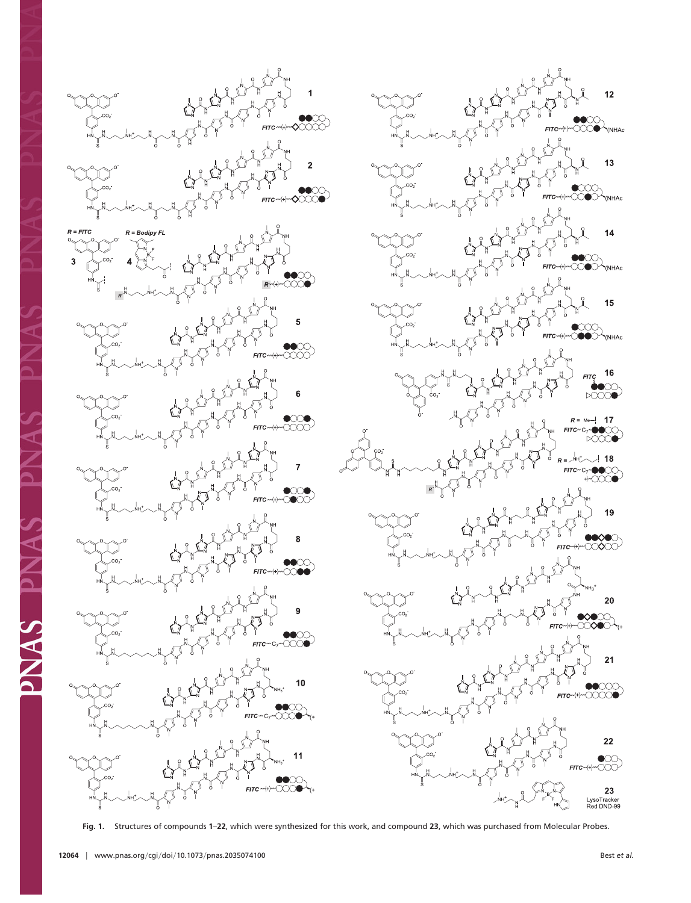



**Fig. 1.** Structures of compounds **1**–**22**, which were synthesized for this work, and compound **23**, which was purchased from Molecular Probes.

**AKIQ**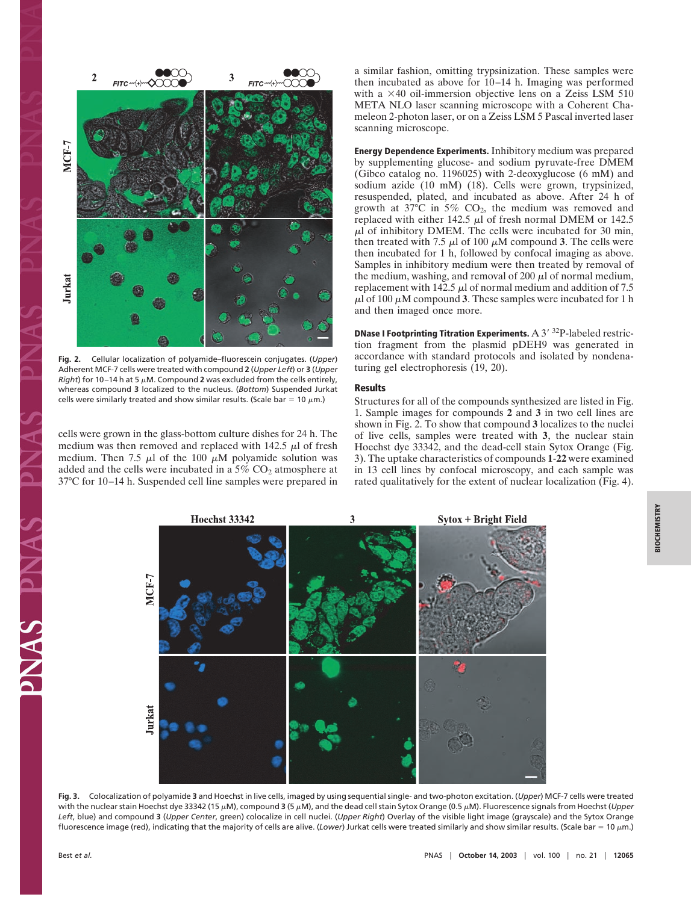

**Fig. 2.** Cellular localization of polyamide–fluorescein conjugates. (*Upper*) Adherent MCF-7 cells were treated with compound **2** (*Upper Left*) or **3** (*Upper Right*) for 10–14 h at 5  $\mu$ M. Compound 2 was excluded from the cells entirely, whereas compound **3** localized to the nucleus. (*Bottom*) Suspended Jurkat cells were similarly treated and show similar results. (Scale bar = 10  $\mu$ m.)

cells were grown in the glass-bottom culture dishes for 24 h. The medium was then removed and replaced with  $142.5 \mu$ l of fresh medium. Then 7.5  $\mu$ l of the 100  $\mu$ M polyamide solution was added and the cells were incubated in a  $5\%$  CO<sub>2</sub> atmosphere at 37°C for 10–14 h. Suspended cell line samples were prepared in a similar fashion, omitting trypsinization. These samples were then incubated as above for 10–14 h. Imaging was performed with a  $\times$ 40 oil-immersion objective lens on a Zeiss LSM 510 META NLO laser scanning microscope with a Coherent Chameleon 2-photon laser, or on a Zeiss LSM 5 Pascal inverted laser scanning microscope.

**Energy Dependence Experiments.** Inhibitory medium was prepared by supplementing glucose- and sodium pyruvate-free DMEM (Gibco catalog no. 1196025) with 2-deoxyglucose (6 mM) and sodium azide (10 mM) (18). Cells were grown, trypsinized, resuspended, plated, and incubated as above. After 24 h of growth at  $37^{\circ}$ C in  $5\%$  CO<sub>2</sub>, the medium was removed and replaced with either 142.5  $\mu$ l of fresh normal DMEM or 142.5  $\mu$ l of inhibitory DMEM. The cells were incubated for 30 min, then treated with 7.5  $\mu$ l of 100  $\mu$ M compound 3. The cells were then incubated for 1 h, followed by confocal imaging as above. Samples in inhibitory medium were then treated by removal of the medium, washing, and removal of 200  $\mu$ l of normal medium, replacement with 142.5  $\mu$ l of normal medium and addition of 7.5  $\mu$ l of 100  $\mu$ M compound 3. These samples were incubated for 1 h and then imaged once more.

**DNase I Footprinting Titration Experiments.** A 3' <sup>32</sup>P-labeled restriction fragment from the plasmid pDEH9 was generated in accordance with standard protocols and isolated by nondenaturing gel electrophoresis (19, 20).

## **Results**

Structures for all of the compounds synthesized are listed in Fig. 1. Sample images for compounds **2** and **3** in two cell lines are shown in Fig. 2. To show that compound **3** localizes to the nuclei of live cells, samples were treated with **3**, the nuclear stain Hoechst dye 33342, and the dead-cell stain Sytox Orange (Fig. 3). The uptake characteristics of compounds **1**-**22** were examined in 13 cell lines by confocal microscopy, and each sample was rated qualitatively for the extent of nuclear localization (Fig. 4).



**Fig. 3.** Colocalization of polyamide **3** and Hoechst in live cells, imaged by using sequential single- and two-photon excitation. (*Upper*) MCF-7 cells were treated with the nuclear stain Hoechst dye 33342 (15 μM), compound **3** (5 μM), and the dead cell stain Sytox Orange (0.5 μM). Fluorescence signals from Hoechst (Upper *Left*, blue) and compound **3** (*Upper Center*, green) colocalize in cell nuclei. (*Upper Right*) Overlay of the visible light image (grayscale) and the Sytox Orange fluorescence image (red), indicating that the majority of cells are alive. (*Lower*) Jurkat cells were treated similarly and show similar results. (Scale bar = 10 μm.)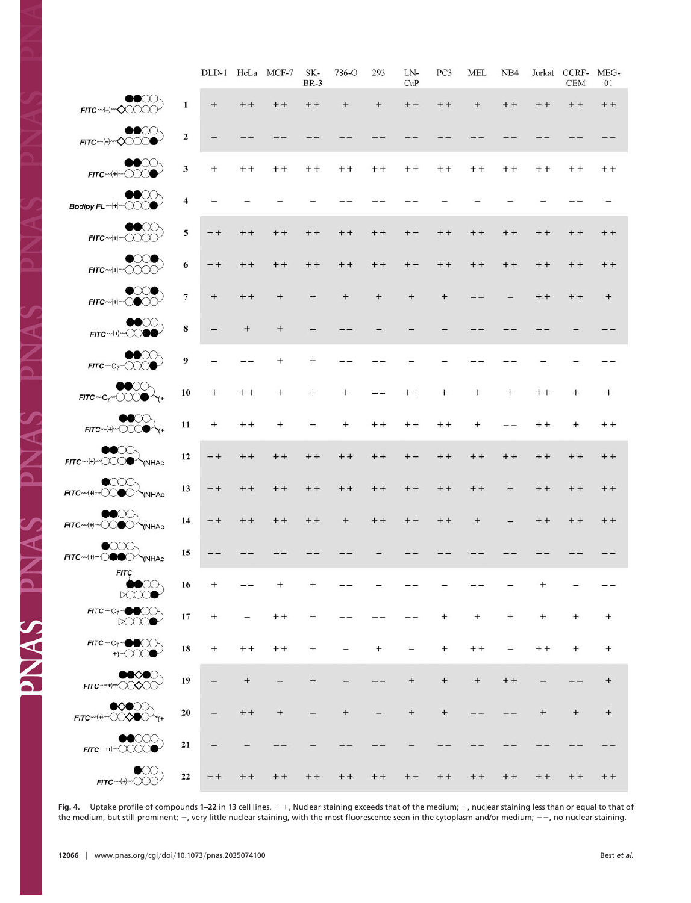|                                                                                                                                                                                                                                                                                                                                                                                                                                                                                                                                                                                                                       |                         | DLD-1  |        | HeLa MCF-7 | SK-<br><b>BR-3</b> | 786-O  | 293       | LN-<br>CaP | PC <sub>3</sub> | MEL    | NB <sub>4</sub> | Jurkat | CCRF-<br><b>CEM</b> | MEG-<br>01 |
|-----------------------------------------------------------------------------------------------------------------------------------------------------------------------------------------------------------------------------------------------------------------------------------------------------------------------------------------------------------------------------------------------------------------------------------------------------------------------------------------------------------------------------------------------------------------------------------------------------------------------|-------------------------|--------|--------|------------|--------------------|--------|-----------|------------|-----------------|--------|-----------------|--------|---------------------|------------|
| $\bullet$ $\circ$<br>FITC-4-4-00000-                                                                                                                                                                                                                                                                                                                                                                                                                                                                                                                                                                                  | 1                       | $+$    | $++$   | $++$       | $++$               | $+$    | $^{+}$    | $+ +$      | $+ +$           | $\pm$  | $++$            | $+ +$  | $++$                | $++$       |
| $\bullet\bullet\circ\circ\circ\circ$<br>$FITC$ <sup>-(+)</sup> <sup>---</sup> $\bigcirc$ $\bigcirc$ $\bigcirc$ $\bigcirc$                                                                                                                                                                                                                                                                                                                                                                                                                                                                                             | $\mathbf 2$             |        |        |            |                    |        |           |            |                 |        |                 |        |                     |            |
| $\bullet\bullet\circ\circ\circ$<br>$FITC$ - $(+) OO$                                                                                                                                                                                                                                                                                                                                                                                                                                                                                                                                                                  | 3                       | $^{+}$ | $+ +$  | $+ +$      | $+ +$              | $+ +$  | $+ +$     | $+ +$      | $+ +$           | $+ +$  | $+ +$           | $+ +$  | $+ +$               | $+ +$      |
| $\bullet\bullet\circ\circ\circ$<br>Bodipy FL-(+)-000                                                                                                                                                                                                                                                                                                                                                                                                                                                                                                                                                                  | $\overline{\mathbf{4}}$ |        |        |            |                    |        |           |            |                 |        |                 |        |                     |            |
| $\bullet\bullet\circ\circ\circ$                                                                                                                                                                                                                                                                                                                                                                                                                                                                                                                                                                                       | 5                       | $+ +$  | $+ +$  | $+ +$      | $+ +$              | $+ +$  | $++$      | $+ +$      | $+ +$           | $+ +$  | $+ +$           | $+ +$  | $+ +$               | $+ +$      |
| $\bullet$<br>$FITC$ $\rightarrow$ $\rightarrow$ $\sim$ $\sim$ $\sim$ $\sim$                                                                                                                                                                                                                                                                                                                                                                                                                                                                                                                                           | 6                       | $++$   | $++$   | $++$       | $++$               | $+ +$  | $+ +$     | $+ +$      | $++$            | $++$   | $++$            | $++$   | $+ +$               | $++$       |
| $FITC$ $\neg$ $\leftarrow$ $\leftarrow$ $\bigcirc$ $\bigcirc$ $\bigcirc$ $\bigcirc$                                                                                                                                                                                                                                                                                                                                                                                                                                                                                                                                   | $\overline{\tau}$       | $+$    | $+ +$  | $+$        | $+$                | $+$    | $^{+}$    | $^{+}$     | $+$             |        |                 | $++$   | $+ +$               | $^{+}$     |
| $\bullet\bullet\circ\circ\circ$<br>$FITC \rightarrow \rightarrow \odot \odot \bullet \bullet$                                                                                                                                                                                                                                                                                                                                                                                                                                                                                                                         | $\bf 8$                 |        | $\, +$ | $^{+}$     |                    |        |           |            |                 |        |                 |        |                     |            |
| $\bullet\circ\circ$<br>$FITC-C_T$ $\bigcirc$ $\bigcirc$ $\bigcirc$ $\bigcirc$                                                                                                                                                                                                                                                                                                                                                                                                                                                                                                                                         | $\boldsymbol{9}$        |        |        | $^{+}$     | $^{+}$             |        |           |            |                 |        |                 |        |                     |            |
| $\bullet\circ\circ\circ$<br>$FITC \sim C_7 \sim \text{O}(C) \bullet \sim_{(+)}$                                                                                                                                                                                                                                                                                                                                                                                                                                                                                                                                       | 10                      | $^{+}$ | $+ +$  | $^{+}$     | $^{+}$             | $^{+}$ |           | $+ +$      | $^{+}$          |        | $^{+}$          | $+ +$  | $^{+}$              | $^{+}$     |
| $FITC^{-(+)-}OOOO^{-}$                                                                                                                                                                                                                                                                                                                                                                                                                                                                                                                                                                                                | $\mathbf{11}$           | $^{+}$ | $+ +$  | $^{+}$     | $^{+}$             | $^{+}$ | $+ +$     | $+ +$      | $+ +$           | $^{+}$ |                 | $+ +$  | $^{+}$              | $+ +$      |
| $\bullet\bullet\circ\circ\circ$<br>FITC-4--000 MINHAC                                                                                                                                                                                                                                                                                                                                                                                                                                                                                                                                                                 | 12                      | $+ +$  | $+ +$  | $+ +$      | $+ +$              | $+ +$  | $+ +$     | $+ +$      | $+ +$           | $+ +$  | $+ +$           | $+ +$  | $+ +$               | $+ +$      |
| $\bullet$<br>FITC-4-COOC                                                                                                                                                                                                                                                                                                                                                                                                                                                                                                                                                                                              | 13                      | $+ +$  | $++$   | $++$       | $++$               | $++$   | $++$      | $++$       | $+ +$           | $++$   | $+$             | $++$   | $+ +$               | $++$       |
| $\bullet\circ\circ\circ$                                                                                                                                                                                                                                                                                                                                                                                                                                                                                                                                                                                              | 14                      | $++$   | $++$   | $++$       | $++$               | $+$    | $+ +$     | $++$       | $++$            | $^{+}$ |                 | $++$   | $++$                | $++$       |
| $\bullet$<br>$FITC \sim (+) \sim 0$ O                                                                                                                                                                                                                                                                                                                                                                                                                                                                                                                                                                                 | 15                      |        |        |            |                    |        |           |            |                 |        |                 |        |                     |            |
| <b>FITC</b><br>$\bullet\bullet\circ\circ\circ$<br>$\bowtie \oslash \bullet$                                                                                                                                                                                                                                                                                                                                                                                                                                                                                                                                           | 16                      |        |        |            |                    |        |           |            |                 |        |                 |        |                     |            |
| DOOO                                                                                                                                                                                                                                                                                                                                                                                                                                                                                                                                                                                                                  | 17                      | $+$    |        | $++$       | $^{+}$             |        |           |            | $^{+}$          | $^{+}$ | $+$             | $^{+}$ | $+$                 | $^{+}$     |
| $FITC-C_7$ <b>OO</b><br>$+) 000$                                                                                                                                                                                                                                                                                                                                                                                                                                                                                                                                                                                      | 18                      | $+$    | $+ +$  | $++$       | $\ddot{}$          |        | $\ddot{}$ |            | $+$             | $+ +$  |                 | $+ +$  | $^{+}$              | $\pm$      |
| $\bullet\bullet\hspace{-4pt}\curvearrowright\hspace{-4pt}\curvearrowright\hspace{-4pt}\curvearrowright\hspace{-4pt}\curvearrowright\hspace{-4pt}\curvearrowright\hspace{-4pt}\curvearrowright\hspace{-4pt}\curvearrowright\hspace{-4pt}\curvearrowright\hspace{-4pt}\curvearrowright\hspace{-4pt}\curvearrowleft\hspace{-4pt}\prepace{-4pt}\succ\hspace{-4pt}\curvearrowleft\hspace{-4pt}\prepace{-4pt}\succ\hspace{-4pt}\curvearrowleft\hspace{-4pt}\prepace{-4pt}\succ\hspace{-4pt}\prepace{-4pt}\succ\hspace{-4pt}\prepace{-4pt}\succ\hspace{-4pt}\prepace{-4pt}\succ\hspace{-4pt}\prepace{-4pt$<br>FITC-+++-00000 | 19                      |        | $^{+}$ |            | $^{+}$             |        |           | $^{+}$     | $+$             | $^{+}$ | $++$            |        |                     | $^{+}$     |
| $\bullet \hspace{-0.1cm}\bullet \hspace{-0.1cm} \bullet \hspace{-0.1cm} \circ \hspace{-0.1cm} \bullet \hspace{-0.1cm} \circ \hspace{-0.1cm} \circ$                                                                                                                                                                                                                                                                                                                                                                                                                                                                    | 20                      |        | $+ +$  | $+$        |                    |        |           | $^{+}$     | $+$             |        |                 |        | $+$                 | $+$        |
| $\bullet$<br>$FITC^{-(+)-}$ 0000                                                                                                                                                                                                                                                                                                                                                                                                                                                                                                                                                                                      | 21                      |        |        |            |                    |        |           |            |                 |        |                 |        |                     |            |
| $\bullet \infty$<br>$FITC$ $H \sim \text{C}$                                                                                                                                                                                                                                                                                                                                                                                                                                                                                                                                                                          | 22                      | $++$   | $++$   | $++$       | $+ +$              | $+ +$  | $+ +$     | $++$       | $++$            | $++$   | $+ +$           | $+ +$  | $+ +$               | $+ +$      |

Fig. 4. Uptake profile of compounds 1-22 in 13 cell lines.  $+$ , Nuclear staining exceeds that of the medium;  $+$ , nuclear staining less than or equal to that of the medium, but still prominent;  $-$ , very little nuclear staining, with the most fluorescence seen in the cytoplasm and/or medium;  $--$ , no nuclear staining.

PNAS PNAS PNAS PN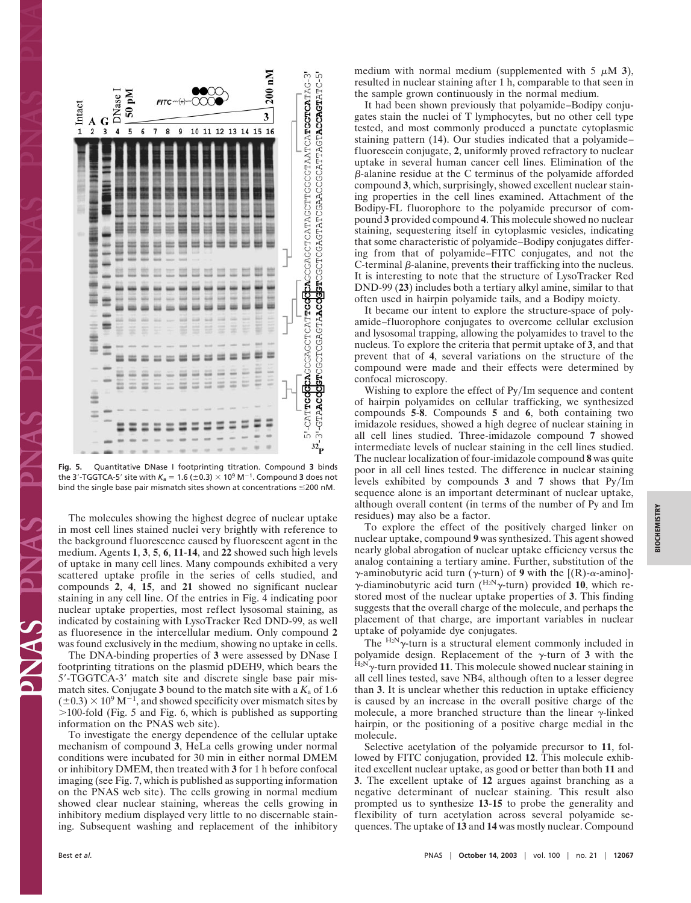

**Fig. 5.** Quantitative DNase I footprinting titration. Compound **3** binds the 3′-TGGTCA-5′ site with  $K_{\sf a}$  = 1.6 (±0.3)  $\times$  10<sup>9</sup> M<sup>–1</sup>. Compound **3** does not bind the single base pair mismatch sites shown at concentrations  $\leq$ 200 nM.

The molecules showing the highest degree of nuclear uptake in most cell lines stained nuclei very brightly with reference to the background fluorescence caused by fluorescent agent in the medium. Agents **1**, **3**, **5**, **6**, **11**-**14**, and **22** showed such high levels of uptake in many cell lines. Many compounds exhibited a very scattered uptake profile in the series of cells studied, and compounds **2**, **4**, **15**, and **21** showed no significant nuclear staining in any cell line. Of the entries in Fig. 4 indicating poor nuclear uptake properties, most reflect lysosomal staining, as indicated by costaining with LysoTracker Red DND-99, as well as fluoresence in the intercellular medium. Only compound **2** was found exclusively in the medium, showing no uptake in cells.

The DNA-binding properties of **3** were assessed by DNase I footprinting titrations on the plasmid pDEH9, which bears the 5-TGGTCA-3 match site and discrete single base pair mismatch sites. Conjugate 3 bound to the match site with a  $K_a$  of 1.6  $(\pm 0.3) \times 10^9$  M<sup>-1</sup>, and showed specificity over mismatch sites by  $>$ 100-fold (Fig. 5 and Fig. 6, which is published as supporting information on the PNAS web site).

To investigate the energy dependence of the cellular uptake mechanism of compound **3**, HeLa cells growing under normal conditions were incubated for 30 min in either normal DMEM or inhibitory DMEM, then treated with **3** for 1 h before confocal imaging (see Fig. 7, which is published as supporting information on the PNAS web site). The cells growing in normal medium showed clear nuclear staining, whereas the cells growing in inhibitory medium displayed very little to no discernable staining. Subsequent washing and replacement of the inhibitory

medium with normal medium (supplemented with  $5 \mu M$  3), resulted in nuclear staining after 1 h, comparable to that seen in the sample grown continuously in the normal medium.

It had been shown previously that polyamide–Bodipy conjugates stain the nuclei of T lymphocytes, but no other cell type tested, and most commonly produced a punctate cytoplasmic staining pattern (14). Our studies indicated that a polyamide– fluorescein conjugate, **2**, uniformly proved refractory to nuclear uptake in several human cancer cell lines. Elimination of the  $\beta$ -alanine residue at the C terminus of the polyamide afforded compound **3**, which, surprisingly, showed excellent nuclear staining properties in the cell lines examined. Attachment of the Bodipy-FL fluorophore to the polyamide precursor of compound **3** provided compound **4**. This molecule showed no nuclear staining, sequestering itself in cytoplasmic vesicles, indicating that some characteristic of polyamide–Bodipy conjugates differing from that of polyamide–FITC conjugates, and not the  $C$ -terminal  $\beta$ -alanine, prevents their trafficking into the nucleus. It is interesting to note that the structure of LysoTracker Red DND-99 (**23**) includes both a tertiary alkyl amine, similar to that often used in hairpin polyamide tails, and a Bodipy moiety.

It became our intent to explore the structure-space of polyamide–fluorophore conjugates to overcome cellular exclusion and lysosomal trapping, allowing the polyamides to travel to the nucleus. To explore the criteria that permit uptake of **3**, and that prevent that of **4**, several variations on the structure of the compound were made and their effects were determined by confocal microscopy.

Wishing to explore the effect of Py/Im sequence and content of hairpin polyamides on cellular trafficking, we synthesized compounds **5**-**8**. Compounds **5** and **6**, both containing two imidazole residues, showed a high degree of nuclear staining in all cell lines studied. Three-imidazole compound **7** showed intermediate levels of nuclear staining in the cell lines studied. The nuclear localization of four-imidazole compound **8** was quite poor in all cell lines tested. The difference in nuclear staining levels exhibited by compounds  $3$  and  $7$  shows that  $Py/Im$ sequence alone is an important determinant of nuclear uptake, although overall content (in terms of the number of Py and Im residues) may also be a factor.

To explore the effect of the positively charged linker on nuclear uptake, compound **9** was synthesized. This agent showed nearly global abrogation of nuclear uptake efficiency versus the analog containing a tertiary amine. Further, substitution of the  $\gamma$ -aminobutyric acid turn ( $\gamma$ -turn) of **9** with the [(R)- $\alpha$ -amino]- $\gamma$ -diaminobutyric acid turn ( $^{H_2N}\gamma$ -turn) provided 10, which restored most of the nuclear uptake properties of **3**. This finding suggests that the overall charge of the molecule, and perhaps the placement of that charge, are important variables in nuclear uptake of polyamide dye conjugates.

The  $\frac{H_2N}{\gamma}$ -turn is a structural element commonly included in polyamide design. Replacement of the  $\gamma$ -turn of 3 with the  $^{H_2N}\gamma$ -turn provided 11. This molecule showed nuclear staining in all cell lines tested, save NB4, although often to a lesser degree than **3**. It is unclear whether this reduction in uptake efficiency is caused by an increase in the overall positive charge of the molecule, a more branched structure than the linear  $\gamma$ -linked hairpin, or the positioning of a positive charge medial in the molecule.

Selective acetylation of the polyamide precursor to **11**, followed by FITC conjugation, provided **12**. This molecule exhibited excellent nuclear uptake, as good or better than both **11** and **3**. The excellent uptake of **12** argues against branching as a negative determinant of nuclear staining. This result also prompted us to synthesize **13**-**15** to probe the generality and flexibility of turn acetylation across several polyamide sequences. The uptake of **13** and **14** was mostly nuclear. Compound